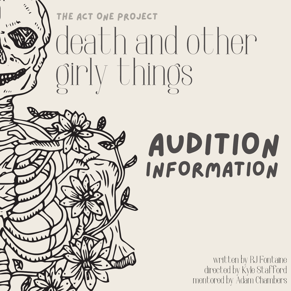### death and other girly things THE ACT ONE PROJECT

 $\mathcal{L}_{\mathcal{L}_{\mathcal{L}}}$ 

### audition information

written by RJ Fontaine directed by Kyle Stafford mentored by Adam Chambers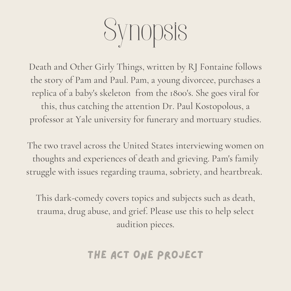

Death and Other Girly Things, written by RJ Fontaine follows the story of Pam and Paul. Pam, a young divorcee, purchases a replica of a baby's skeleton from the 1800's. She goes viral for this, thus catching the attention Dr. Paul Kostopolous, a professor at Yale university for funerary and mortuary studies.

The two travel across the United States interviewing women on thoughts and experiences of death and grieving. Pam's family struggle with issues regarding trauma, sobriety, and heartbreak.

This dark-comedy covers topics and subjects such as death, trauma, drug abuse, and grief. Please use this to help select audition pieces.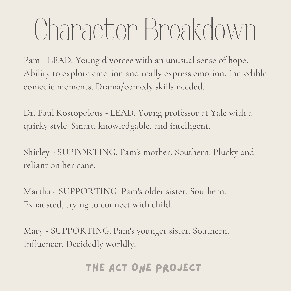Pam - LEAD. Young divorcee with an unusual sense of hope. Ability to explore emotion and really express emotion. Incredible comedic moments. Drama/comedy skills needed.

Dr. Paul Kostopolous - LEAD. Young professor at Yale with a quirky style. Smart, knowledgable, and intelligent.

Shirley - SUPPORTING. Pam's mother. Southern. Plucky and reliant on her cane.

Martha - SUPPORTING. Pam's older sister. Southern. Exhausted, trying to connect with child.

Mary - SUPPORTING. Pam's younger sister. Southern. Influencer. Decidedly worldly.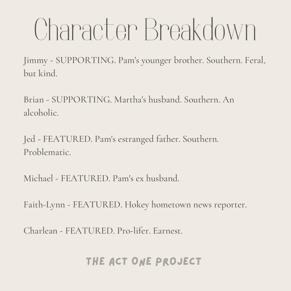Jimmy - SUPPORTING. Pam's younger brother. Southern. Feral, but kind.

Brian - SUPPORTING. Martha's husband. Southern. An alcoholic.

Jed - FEATURED. Pam's estranged father. Southern. Problematic.

Michael - FEATURED. Pam's ex husband.

Faith-Lynn - FEATURED. Hokey hometown news reporter.

Charlean - FEATURED. Pro-lifer. Earnest.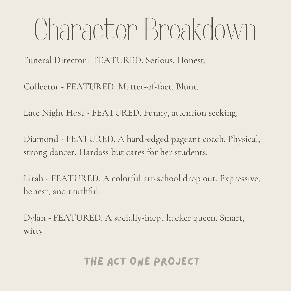Funeral Director - FEATURED. Serious. Honest.

Collector - FEATURED. Matter-of-fact. Blunt.

Late Night Host - FEATURED. Funny, attention seeking.

Diamond - FEATURED. A hard-edged pageant coach. Physical, strong dancer. Hardass but cares for her students.

Lirah - FEATURED. A colorful art-school drop out. Expressive, honest, and truthful.

Dylan - FEATURED. A socially-inept hacker queen. Smart, witty.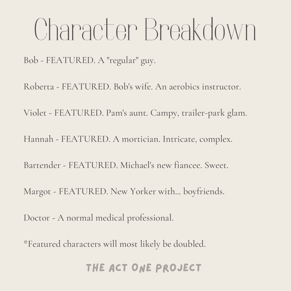Bob - FEATURED. A "regular" guy.

Roberta - FEATURED. Bob's wife. An aerobics instructor. Violet - FEATURED. Pam's aunt. Campy, trailer-park glam. Hannah - FEATURED. A mortician. Intricate, complex. Bartender - FEATURED. Michael's new fiancee. Sweet. Margot - FEATURED. New Yorker with... boyfriends. Doctor - A normal medical professional.

\*Featured characters will most likely be doubled.

### THE ACT ONE PROJECT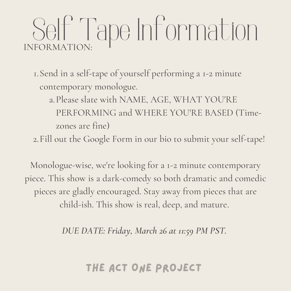### Self Tape Information INFORMATION:

Send in a self-tape of yourself performing a 1-2 minute 1. contemporary monologue.

Please slate with NAME, AGE, WHAT YOU'RE a. PERFORMING and WHERE YOU'RE BASED (Timezones are fine)

Fill out the Google Form in our bio to submit your self-tape! 2.

Monologue-wise, we're looking for a 1-2 minute contemporary piece. This show is a dark-comedy so both dramatic and comedic pieces are gladly encouraged. Stay away from pieces that are child-ish. This show is real, deep, and mature.

*DUE DATE: Friday, March 26 at 11:59 PM PST.*